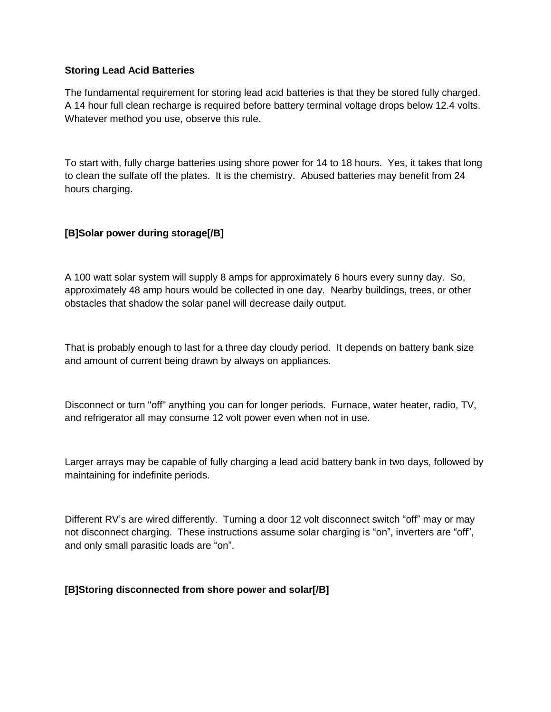#### **Storing Lead Acid Batteries**

The fundamental requirement for storing lead acid batteries is that they be stored fully charged. A 14 hour full clean recharge is required before battery terminal voltage drops below 12.4 volts. Whatever method you use, observe this rule.

To start with, fully charge batteries using shore power for 14 to 18 hours. Yes, it takes that long to clean the sulfate off the plates. It is the chemistry. Abused batteries may benefit from 24 hours charging.

# **[B]Solar power during storage[/B]**

A 100 watt solar system will supply 8 amps for approximately 6 hours every sunny day. So, approximately 48 amp hours would be collected in one day. Nearby buildings, trees, or other obstacles that shadow the solar panel will decrease daily output.

That is probably enough to last for a three day cloudy period. It depends on battery bank size and amount of current being drawn by always on appliances.

Disconnect or turn "off" anything you can for longer periods. Furnace, water heater, radio, TV, and refrigerator all may consume 12 volt power even when not in use.

Larger arrays may be capable of fully charging a lead acid battery bank in two days, followed by maintaining for indefinite periods.

Different RV's are wired differently. Turning a door 12 volt disconnect switch "off" may or may not disconnect charging. These instructions assume solar charging is "on", inverters are "off", and only small parasitic loads are "on".

## **[B]Storing disconnected from shore power and solar[/B]**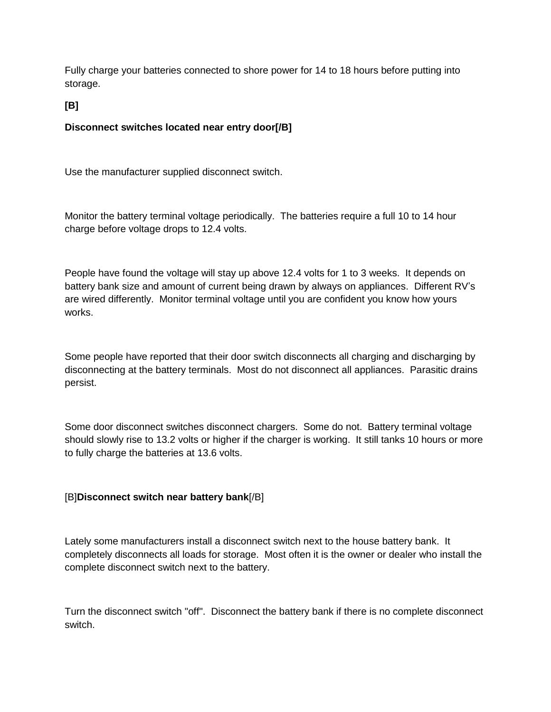Fully charge your batteries connected to shore power for 14 to 18 hours before putting into storage.

**[B]**

## **Disconnect switches located near entry door[/B]**

Use the manufacturer supplied disconnect switch.

Monitor the battery terminal voltage periodically. The batteries require a full 10 to 14 hour charge before voltage drops to 12.4 volts.

People have found the voltage will stay up above 12.4 volts for 1 to 3 weeks. It depends on battery bank size and amount of current being drawn by always on appliances. Different RV's are wired differently. Monitor terminal voltage until you are confident you know how yours works.

Some people have reported that their door switch disconnects all charging and discharging by disconnecting at the battery terminals. Most do not disconnect all appliances. Parasitic drains persist.

Some door disconnect switches disconnect chargers. Some do not. Battery terminal voltage should slowly rise to 13.2 volts or higher if the charger is working. It still tanks 10 hours or more to fully charge the batteries at 13.6 volts.

## [B]**Disconnect switch near battery bank**[/B]

Lately some manufacturers install a disconnect switch next to the house battery bank. It completely disconnects all loads for storage. Most often it is the owner or dealer who install the complete disconnect switch next to the battery.

Turn the disconnect switch "off". Disconnect the battery bank if there is no complete disconnect switch.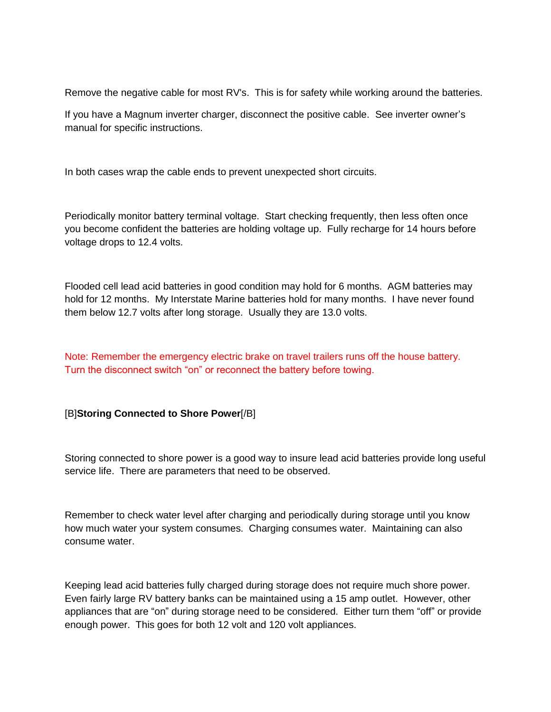Remove the negative cable for most RV's. This is for safety while working around the batteries.

If you have a Magnum inverter charger, disconnect the positive cable. See inverter owner's manual for specific instructions.

In both cases wrap the cable ends to prevent unexpected short circuits.

Periodically monitor battery terminal voltage. Start checking frequently, then less often once you become confident the batteries are holding voltage up. Fully recharge for 14 hours before voltage drops to 12.4 volts.

Flooded cell lead acid batteries in good condition may hold for 6 months. AGM batteries may hold for 12 months. My Interstate Marine batteries hold for many months. I have never found them below 12.7 volts after long storage. Usually they are 13.0 volts.

Note: Remember the emergency electric brake on travel trailers runs off the house battery. Turn the disconnect switch "on" or reconnect the battery before towing.

#### [B]**Storing Connected to Shore Power**[/B]

Storing connected to shore power is a good way to insure lead acid batteries provide long useful service life. There are parameters that need to be observed.

Remember to check water level after charging and periodically during storage until you know how much water your system consumes. Charging consumes water. Maintaining can also consume water.

Keeping lead acid batteries fully charged during storage does not require much shore power. Even fairly large RV battery banks can be maintained using a 15 amp outlet. However, other appliances that are "on" during storage need to be considered. Either turn them "off" or provide enough power. This goes for both 12 volt and 120 volt appliances.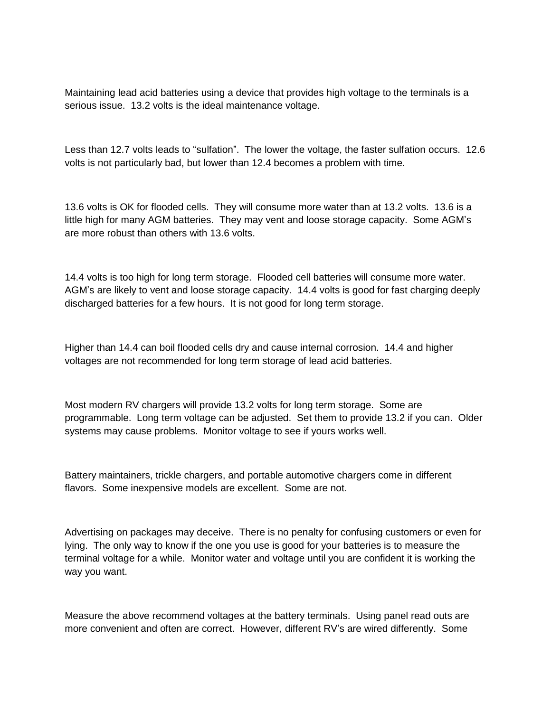Maintaining lead acid batteries using a device that provides high voltage to the terminals is a serious issue. 13.2 volts is the ideal maintenance voltage.

Less than 12.7 volts leads to "sulfation". The lower the voltage, the faster sulfation occurs. 12.6 volts is not particularly bad, but lower than 12.4 becomes a problem with time.

13.6 volts is OK for flooded cells. They will consume more water than at 13.2 volts. 13.6 is a little high for many AGM batteries. They may vent and loose storage capacity. Some AGM's are more robust than others with 13.6 volts.

14.4 volts is too high for long term storage. Flooded cell batteries will consume more water. AGM's are likely to vent and loose storage capacity. 14.4 volts is good for fast charging deeply discharged batteries for a few hours. It is not good for long term storage.

Higher than 14.4 can boil flooded cells dry and cause internal corrosion. 14.4 and higher voltages are not recommended for long term storage of lead acid batteries.

Most modern RV chargers will provide 13.2 volts for long term storage. Some are programmable. Long term voltage can be adjusted. Set them to provide 13.2 if you can. Older systems may cause problems. Monitor voltage to see if yours works well.

Battery maintainers, trickle chargers, and portable automotive chargers come in different flavors. Some inexpensive models are excellent. Some are not.

Advertising on packages may deceive. There is no penalty for confusing customers or even for lying. The only way to know if the one you use is good for your batteries is to measure the terminal voltage for a while. Monitor water and voltage until you are confident it is working the way you want.

Measure the above recommend voltages at the battery terminals. Using panel read outs are more convenient and often are correct. However, different RV's are wired differently. Some